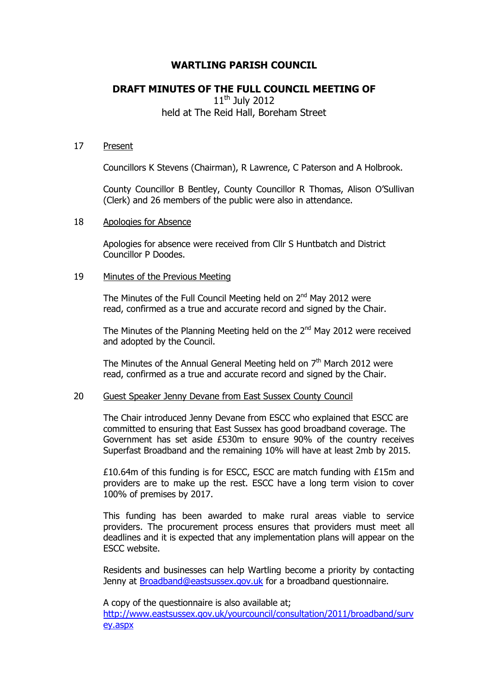# **WARTLING PARISH COUNCIL**

# **DRAFT MINUTES OF THE FULL COUNCIL MEETING OF**

 $11<sup>th</sup>$  July 2012 held at The Reid Hall, Boreham Street

#### 17 Present

Councillors K Stevens (Chairman), R Lawrence, C Paterson and A Holbrook.

County Councillor B Bentley, County Councillor R Thomas, Alison O'Sullivan (Clerk) and 26 members of the public were also in attendance.

#### 18 Apologies for Absence

Apologies for absence were received from Cllr S Huntbatch and District Councillor P Doodes.

## 19 Minutes of the Previous Meeting

The Minutes of the Full Council Meeting held on  $2^{nd}$  May 2012 were read, confirmed as a true and accurate record and signed by the Chair.

The Minutes of the Planning Meeting held on the  $2<sup>nd</sup>$  May 2012 were received and adopted by the Council.

The Minutes of the Annual General Meeting held on  $7<sup>th</sup>$  March 2012 were read, confirmed as a true and accurate record and signed by the Chair.

## 20 Guest Speaker Jenny Devane from East Sussex County Council

The Chair introduced Jenny Devane from ESCC who explained that ESCC are committed to ensuring that East Sussex has good broadband coverage. The Government has set aside £530m to ensure 90% of the country receives Superfast Broadband and the remaining 10% will have at least 2mb by 2015.

£10.64m of this funding is for ESCC, ESCC are match funding with £15m and providers are to make up the rest. ESCC have a long term vision to cover 100% of premises by 2017.

This funding has been awarded to make rural areas viable to service providers. The procurement process ensures that providers must meet all deadlines and it is expected that any implementation plans will appear on the ESCC website.

Residents and businesses can help Wartling become a priority by contacting Jenny at [Broadband@eastsussex.gov.uk](mailto:Broadband@eastsussex.gov.uk) for a broadband questionnaire.

A copy of the questionnaire is also available at; [http://www.eastsussex.gov.uk/yourcouncil/consultation/2011/broadband/surv](http://www.eastsussex.gov.uk/yourcouncil/consultation/2011/broadband/survey.aspx) [ey.aspx](http://www.eastsussex.gov.uk/yourcouncil/consultation/2011/broadband/survey.aspx)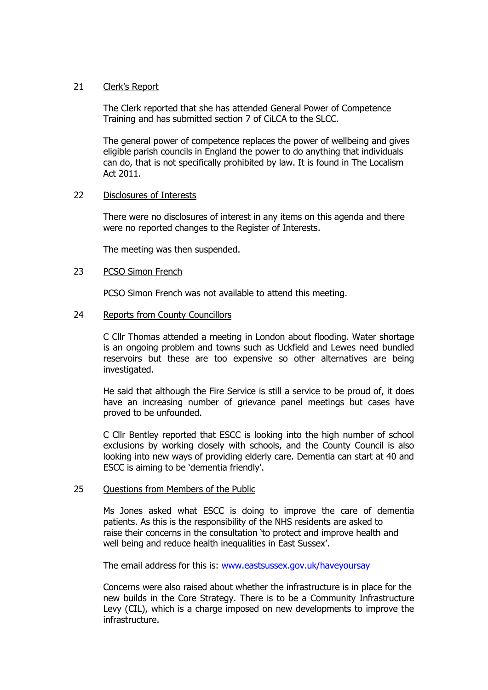## 21 Clerk's Report

The Clerk reported that she has attended General Power of Competence Training and has submitted section 7 of CiLCA to the SLCC.

The general power of competence replaces the power of wellbeing and gives eligible parish councils in England the power to do anything that individuals can do, that is not specifically prohibited by law. It is found in The Localism Act 2011.

## 22 Disclosures of Interests

There were no disclosures of interest in any items on this agenda and there were no reported changes to the Register of Interests.

The meeting was then suspended.

## 23 PCSO Simon French

PCSO Simon French was not available to attend this meeting.

## 24 Reports from County Councillors

C Cllr Thomas attended a meeting in London about flooding. Water shortage is an ongoing problem and towns such as Uckfield and Lewes need bundled reservoirs but these are too expensive so other alternatives are being investigated.

He said that although the Fire Service is still a service to be proud of, it does have an increasing number of grievance panel meetings but cases have proved to be unfounded.

C Cllr Bentley reported that ESCC is looking into the high number of school exclusions by working closely with schools, and the County Council is also looking into new ways of providing elderly care. Dementia can start at 40 and ESCC is aiming to be 'dementia friendly'.

#### 25 Ouestions from Members of the Public

Ms Jones asked what ESCC is doing to improve the care of dementia patients. As this is the responsibility of the NHS residents are asked to raise their concerns in the consultation 'to protect and improve health and well being and reduce health inequalities in East Sussex'.

The email address for this is: [www.eastsussex.gov.uk/haveyoursay](http://www.eastsussex.gov.uk/haveyoursay)

Concerns were also raised about whether the infrastructure is in place for the new builds in the Core Strategy. There is to be a Community Infrastructure Levy (CIL), which is a charge imposed on new developments to improve the infrastructure.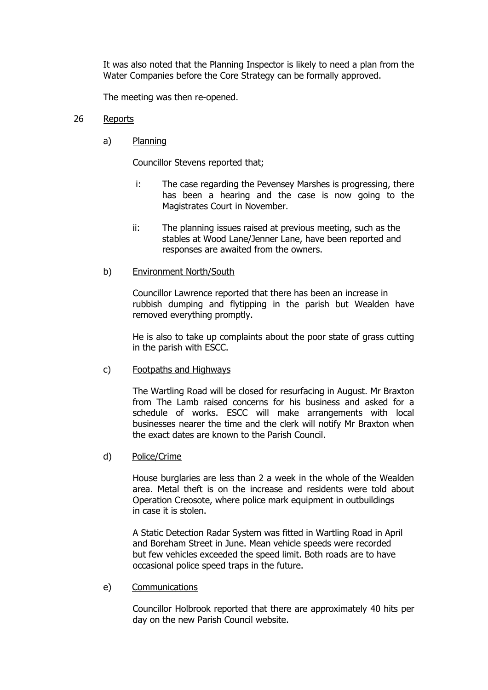It was also noted that the Planning Inspector is likely to need a plan from the Water Companies before the Core Strategy can be formally approved.

The meeting was then re-opened.

## 26 Reports

a) Planning

Councillor Stevens reported that;

- i: The case regarding the Pevensey Marshes is progressing, there has been a hearing and the case is now going to the Magistrates Court in November.
- ii: The planning issues raised at previous meeting, such as the stables at Wood Lane/Jenner Lane, have been reported and responses are awaited from the owners.
- b) Environment North/South

Councillor Lawrence reported that there has been an increase in rubbish dumping and flytipping in the parish but Wealden have removed everything promptly.

He is also to take up complaints about the poor state of grass cutting in the parish with ESCC.

c) Footpaths and Highways

The Wartling Road will be closed for resurfacing in August. Mr Braxton from The Lamb raised concerns for his business and asked for a schedule of works. ESCC will make arrangements with local businesses nearer the time and the clerk will notify Mr Braxton when the exact dates are known to the Parish Council.

d) Police/Crime

House burglaries are less than 2 a week in the whole of the Wealden area. Metal theft is on the increase and residents were told about Operation Creosote, where police mark equipment in outbuildings in case it is stolen.

A Static Detection Radar System was fitted in Wartling Road in April and Boreham Street in June. Mean vehicle speeds were recorded but few vehicles exceeded the speed limit. Both roads are to have occasional police speed traps in the future.

e) Communications

Councillor Holbrook reported that there are approximately 40 hits per day on the new Parish Council website.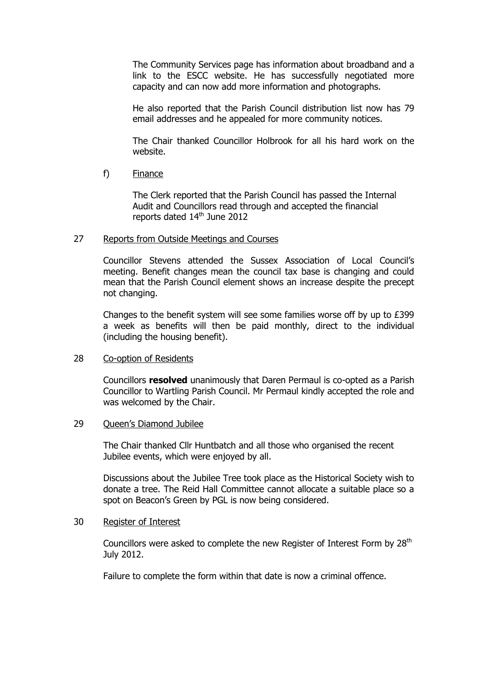The Community Services page has information about broadband and a link to the ESCC website. He has successfully negotiated more capacity and can now add more information and photographs.

He also reported that the Parish Council distribution list now has 79 email addresses and he appealed for more community notices.

The Chair thanked Councillor Holbrook for all his hard work on the website.

f) Finance

The Clerk reported that the Parish Council has passed the Internal Audit and Councillors read through and accepted the financial reports dated 14<sup>th</sup> June 2012

## 27 Reports from Outside Meetings and Courses

Councillor Stevens attended the Sussex Association of Local Council's meeting. Benefit changes mean the council tax base is changing and could mean that the Parish Council element shows an increase despite the precept not changing.

Changes to the benefit system will see some families worse off by up to £399 a week as benefits will then be paid monthly, direct to the individual (including the housing benefit).

## 28 Co-option of Residents

Councillors **resolved** unanimously that Daren Permaul is co-opted as a Parish Councillor to Wartling Parish Council. Mr Permaul kindly accepted the role and was welcomed by the Chair.

#### 29 Queen's Diamond Jubilee

The Chair thanked Cllr Huntbatch and all those who organised the recent Jubilee events, which were enjoyed by all.

Discussions about the Jubilee Tree took place as the Historical Society wish to donate a tree. The Reid Hall Committee cannot allocate a suitable place so a spot on Beacon's Green by PGL is now being considered.

#### 30 Register of Interest

Councillors were asked to complete the new Register of Interest Form by 28<sup>th</sup> July 2012.

Failure to complete the form within that date is now a criminal offence.